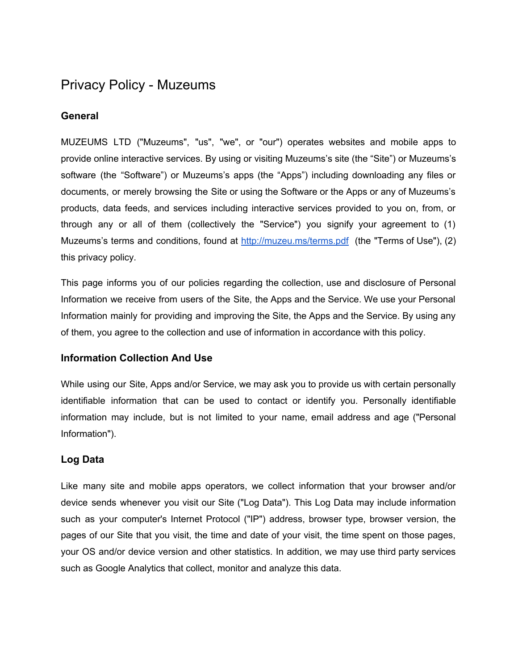# Privacy Policy - Muzeums

## **General**

MUZEUMS LTD ("Muzeums", "us", "we", or "our") operates websites and mobile apps to provide online interactive services. By using or visiting Muzeums's site (the "Site") or Muzeums's software (the "Software") or Muzeums's apps (the "Apps") including downloading any files or documents, or merely browsing the Site or using the Software or the Apps or any of Muzeums's products, data feeds, and services including interactive services provided to you on, from, or through any or all of them (collectively the "Service") you signify your agreement to (1) Muzeums's terms and conditions, found at <http://muzeu.ms/terms.pdf> (the "Terms of Use"), (2) this privacy policy.

This page informs you of our policies regarding the collection, use and disclosure of Personal Information we receive from users of the Site, the Apps and the Service. We use your Personal Information mainly for providing and improving the Site, the Apps and the Service. By using any of them, you agree to the collection and use of information in accordance with this policy.

### **Information Collection And Use**

While using our Site, Apps and/or Service, we may ask you to provide us with certain personally identifiable information that can be used to contact or identify you. Personally identifiable information may include, but is not limited to your name, email address and age ("Personal Information").

## **Log Data**

Like many site and mobile apps operators, we collect information that your browser and/or device sends whenever you visit our Site ("Log Data"). This Log Data may include information such as your computer's Internet Protocol ("IP") address, browser type, browser version, the pages of our Site that you visit, the time and date of your visit, the time spent on those pages, your OS and/or device version and other statistics. In addition, we may use third party services such as Google Analytics that collect, monitor and analyze this data.